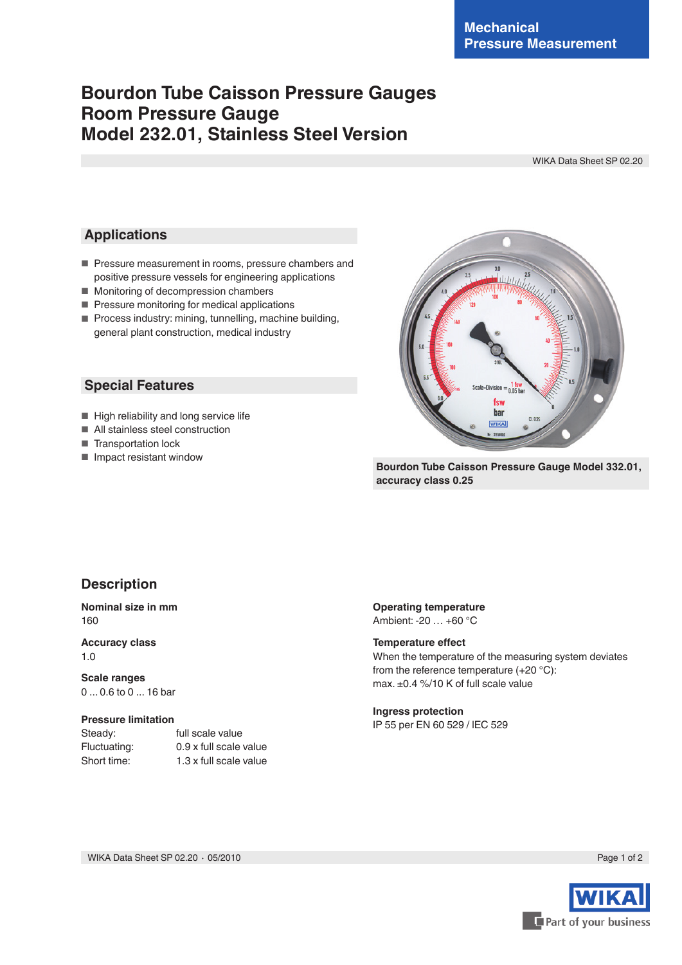# **Bourdon Tube Caisson Pressure Gauges Room Pressure Gauge Model 232.01, Stainless Steel Version**

WIKA Data Sheet SP 02.20

### **Applications**

- Pressure measurement in rooms, pressure chambers and positive pressure vessels for engineering applications
- Monitoring of decompression chambers
- Pressure monitoring for medical applications
- Process industry: mining, tunnelling, machine building, general plant construction, medical industry

### **Special Features**

- High reliability and long service life
- All stainless steel construction
- Transportation lock
- Impact resistant window



**Bourdon Tube Caisson Pressure Gauge Model 332.01, accuracy class 0.25**

### **Description**

#### **Nominal size in mm** 160

**Accuracy class** 1.0

**Scale ranges** 0 ... 0.6 to 0 ... 16 bar

#### **Pressure limitation**

Steady: full scale value Fluctuating: 0.9 x full scale value Short time: 1.3 x full scale value

### **Operating temperature**

Ambient: -20 … +60 °C

#### **Temperature effect**

When the temperature of the measuring system deviates from the reference temperature (+20 °C): max. ±0.4 %/10 K of full scale value

#### **Ingress protection**

IP 55 per EN 60 529 / lEC 529

WIKA Data Sheet SP 02.20 ⋅ 05/2010 Page 1 of 2